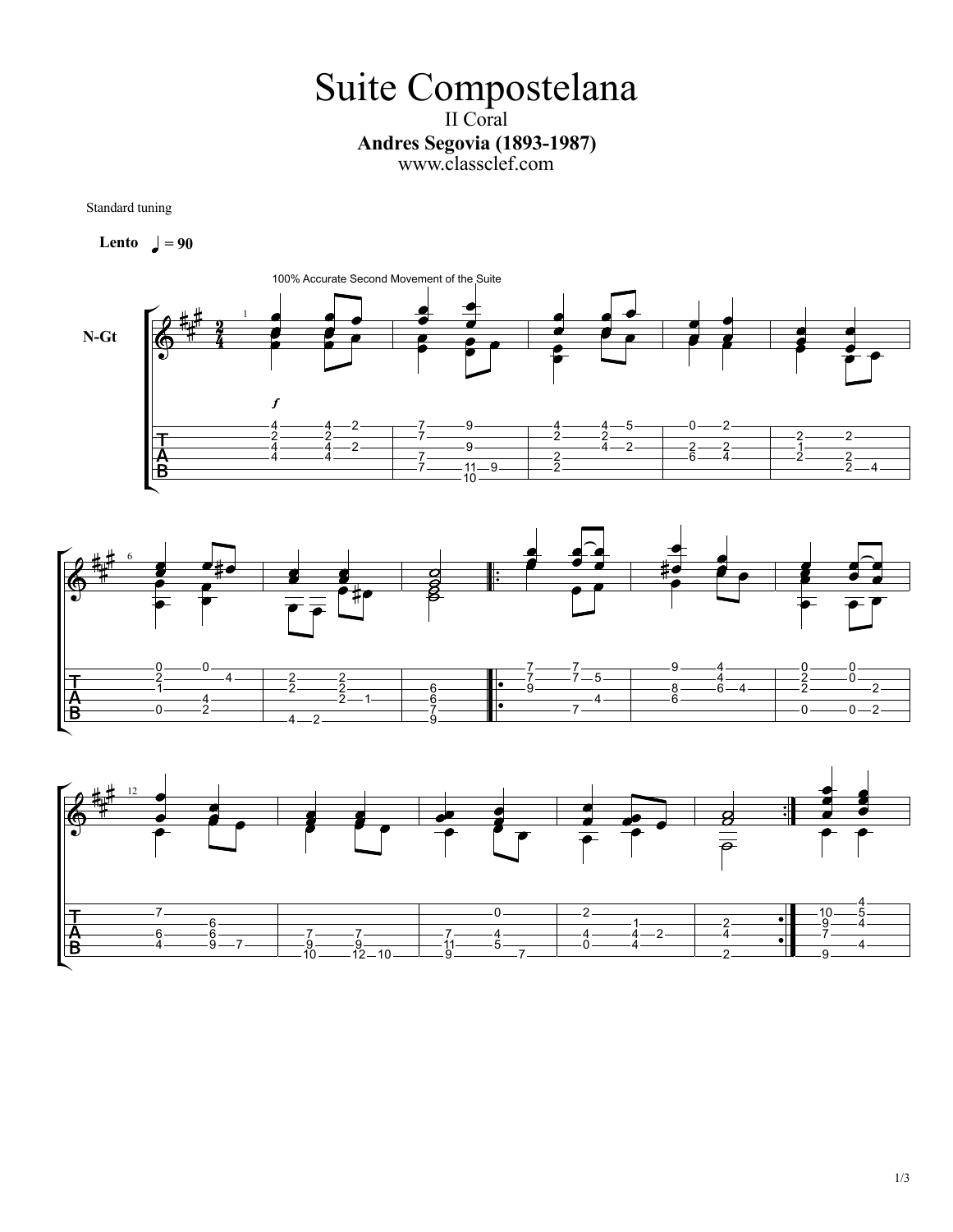## Suite Compostelana II Coral **Andres Segovia (1893-1987)** www.classclef.com

Standard tuning

Lento  $= 90$ 





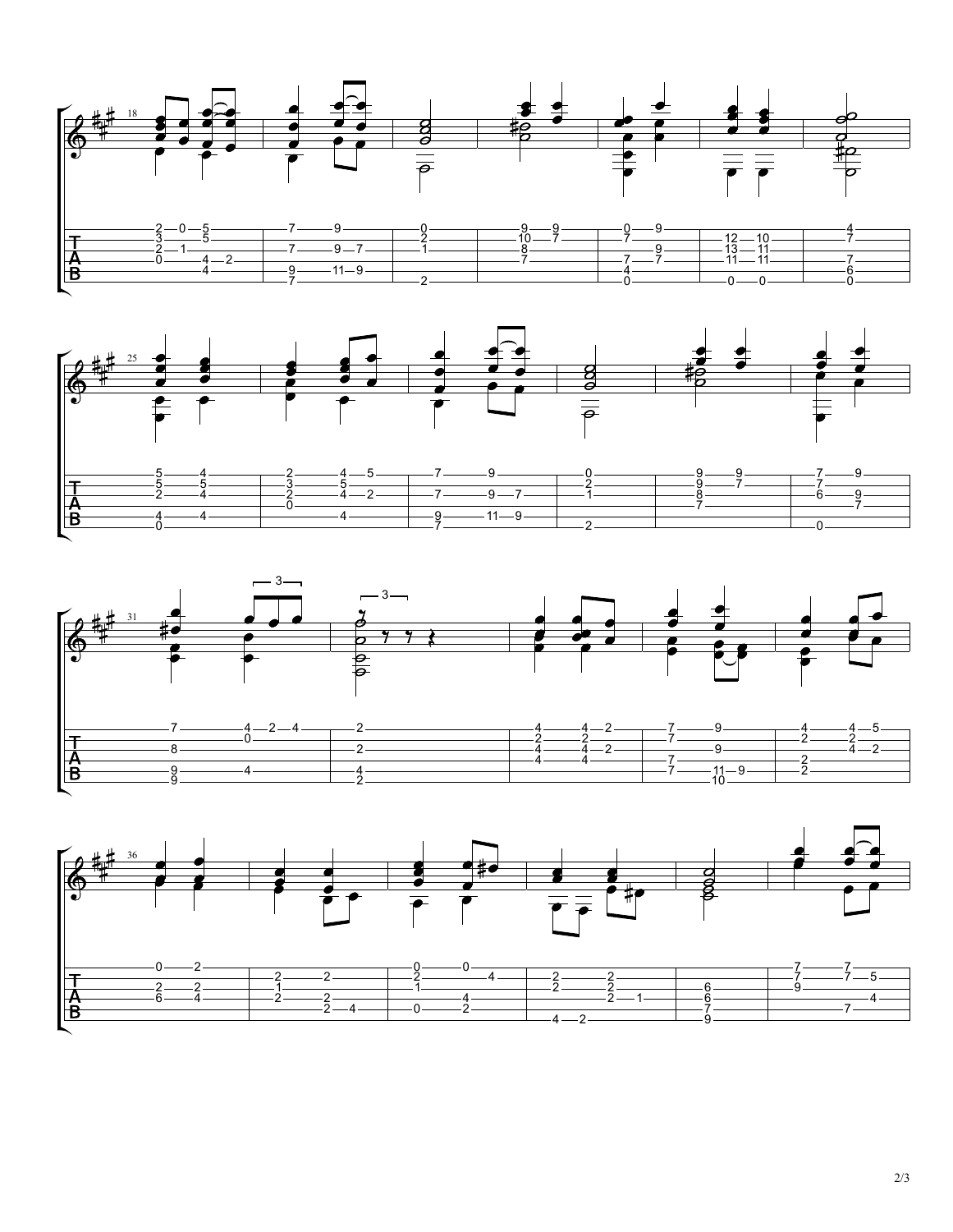